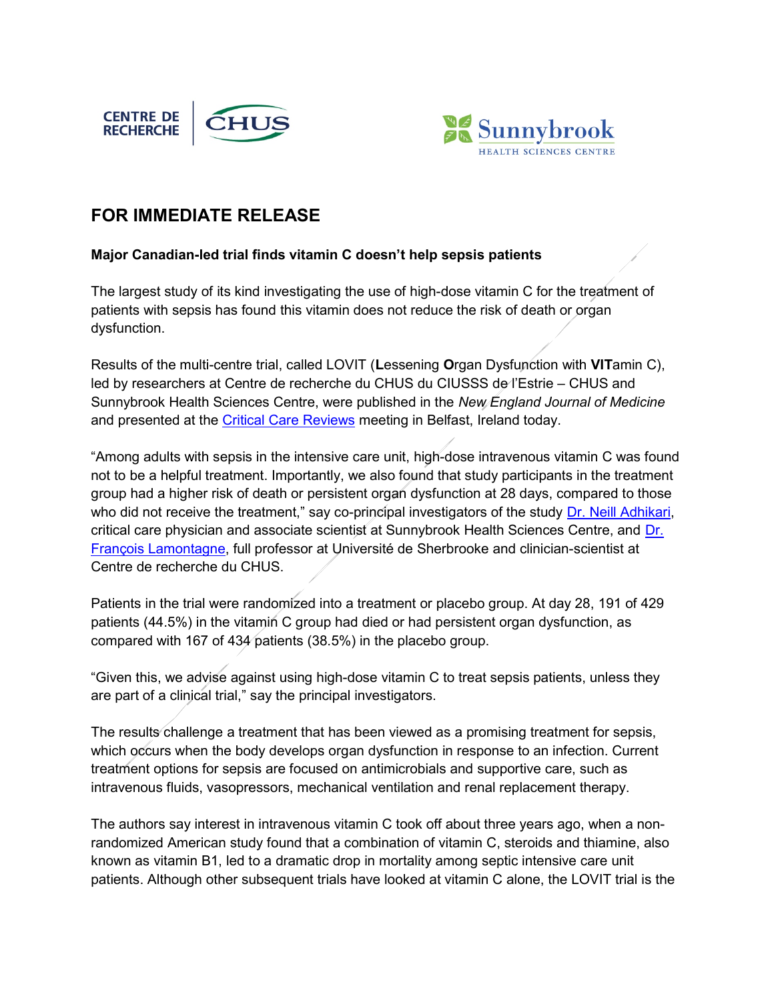



## FOR IMMEDIATE RELEASE

## Major Canadian-led trial finds vitamin C doesn't help sepsis patients

The largest study of its kind investigating the use of high-dose vitamin C for the treatment of patients with sepsis has found this vitamin does not reduce the risk of death or organ dysfunction.

Results of the multi-centre trial, called LOVIT (Lessening Organ Dysfunction with VITamin C), led by researchers at Centre de recherche du CHUS du CIUSSS de l'Estrie – CHUS and Sunnybrook Health Sciences Centre, were published in the New England Journal of Medicine and presented at the Critical Care Reviews meeting in Belfast, Ireland today.

"Among adults with sepsis in the intensive care unit, high-dose intravenous vitamin C was found not to be a helpful treatment. Importantly, we also found that study participants in the treatment group had a higher risk of death or persistent organ dysfunction at 28 days, compared to those who did not receive the treatment," say co-principal investigators of the study Dr. Neill Adhikari, critical care physician and associate scientist at Sunnybrook Health Sciences Centre, and Dr. François Lamontagne, full professor at Université de Sherbrooke and clinician-scientist at Centre de recherche du CHUS.

Patients in the trial were randomized into a treatment or placebo group. At day 28, 191 of 429 patients (44.5%) in the vitamin C group had died or had persistent organ dysfunction, as compared with 167 of 434 patients (38.5%) in the placebo group.

"Given this, we advise against using high-dose vitamin C to treat sepsis patients, unless they are part of a clinical trial," say the principal investigators.

The results challenge a treatment that has been viewed as a promising treatment for sepsis, which occurs when the body develops organ dysfunction in response to an infection. Current treatment options for sepsis are focused on antimicrobials and supportive care, such as intravenous fluids, vasopressors, mechanical ventilation and renal replacement therapy.

The authors say interest in intravenous vitamin C took off about three years ago, when a nonrandomized American study found that a combination of vitamin C, steroids and thiamine, also known as vitamin B1, led to a dramatic drop in mortality among septic intensive care unit patients. Although other subsequent trials have looked at vitamin C alone, the LOVIT trial is the